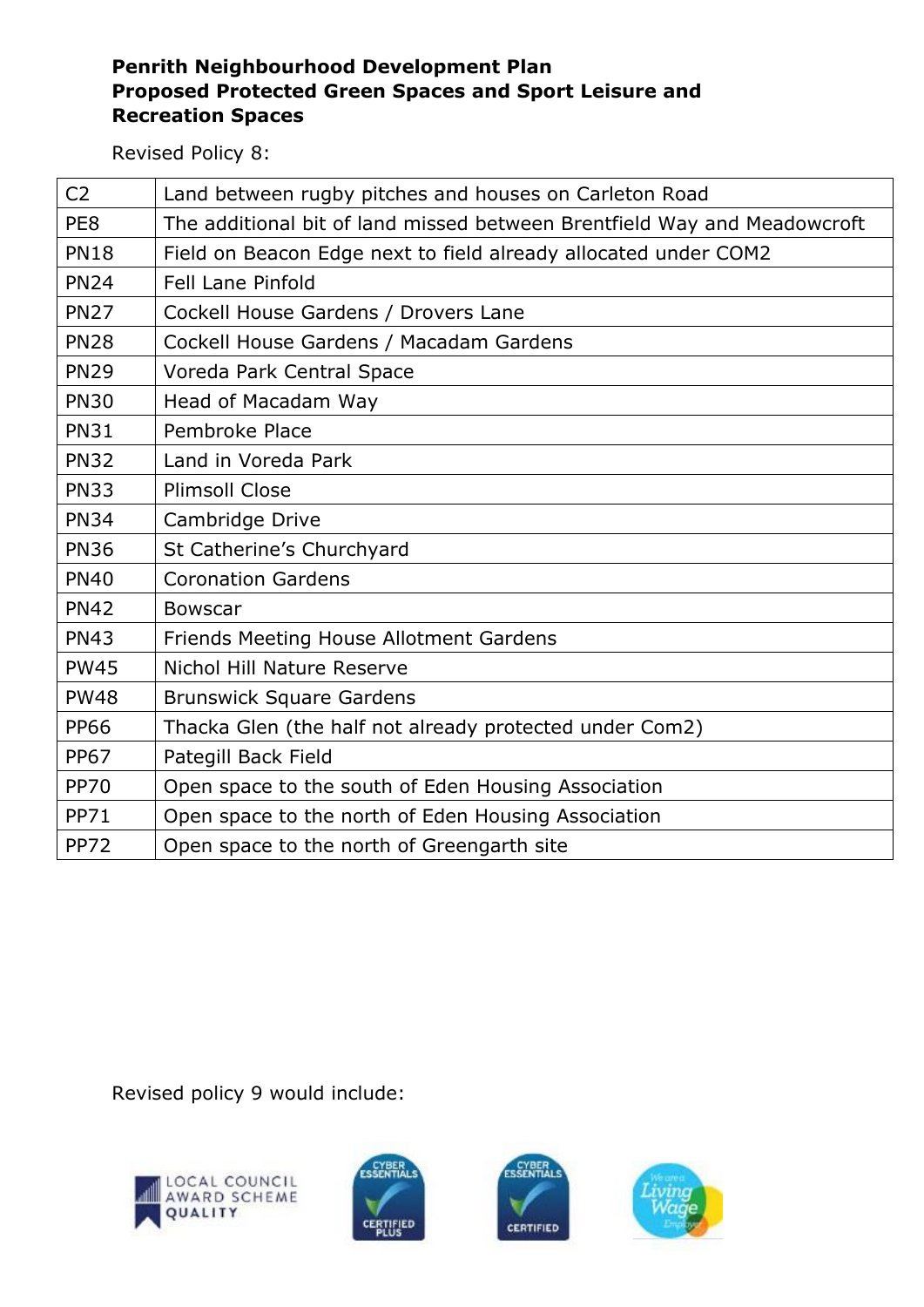## **Penrith Neighbourhood Development Plan Proposed Protected Green Spaces and Sport Leisure and Recreation Spaces**

Revised Policy 8:

| C <sub>2</sub> | Land between rugby pitches and houses on Carleton Road                   |
|----------------|--------------------------------------------------------------------------|
| PE8            | The additional bit of land missed between Brentfield Way and Meadowcroft |
| <b>PN18</b>    | Field on Beacon Edge next to field already allocated under COM2          |
| <b>PN24</b>    | <b>Fell Lane Pinfold</b>                                                 |
| <b>PN27</b>    | Cockell House Gardens / Drovers Lane                                     |
| <b>PN28</b>    | Cockell House Gardens / Macadam Gardens                                  |
| <b>PN29</b>    | Voreda Park Central Space                                                |
| <b>PN30</b>    | Head of Macadam Way                                                      |
| <b>PN31</b>    | Pembroke Place                                                           |
| <b>PN32</b>    | Land in Voreda Park                                                      |
| <b>PN33</b>    | <b>Plimsoll Close</b>                                                    |
| <b>PN34</b>    | Cambridge Drive                                                          |
| <b>PN36</b>    | St Catherine's Churchyard                                                |
| <b>PN40</b>    | <b>Coronation Gardens</b>                                                |
| <b>PN42</b>    | <b>Bowscar</b>                                                           |
| <b>PN43</b>    | Friends Meeting House Allotment Gardens                                  |
| <b>PW45</b>    | Nichol Hill Nature Reserve                                               |
| <b>PW48</b>    | <b>Brunswick Square Gardens</b>                                          |
| <b>PP66</b>    | Thacka Glen (the half not already protected under Com2)                  |
| <b>PP67</b>    | Pategill Back Field                                                      |
| <b>PP70</b>    | Open space to the south of Eden Housing Association                      |
| <b>PP71</b>    | Open space to the north of Eden Housing Association                      |
| <b>PP72</b>    | Open space to the north of Greengarth site                               |

Revised policy 9 would include: